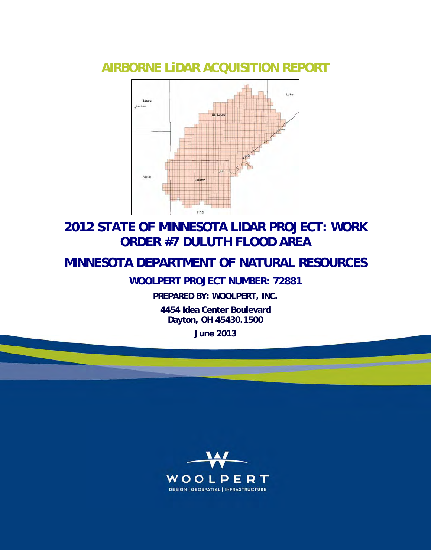## **AIRBORNE LiDAR ACQUISITION REPORT**



## **2012 STATE OF MINNESOTA LIDAR PROJECT: WORK ORDER #7 DULUTH FLOOD AREA**

## **MINNESOTA DEPARTMENT OF NATURAL RESOURCES**

**WOOLPERT PROJECT NUMBER: 72881**

**PREPARED BY: WOOLPERT, INC.**

**4454 Idea Center Boulevard Dayton, OH 45430.1500** 

**June 2013**

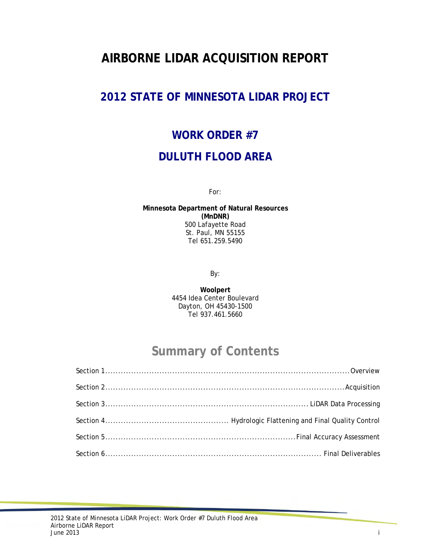## **AIRBORNE LIDAR ACQUISITION REPORT**

## **2012 STATE OF MINNESOTA LIDAR PROJECT**

# **WORK ORDER #7 DULUTH FLOOD AREA**

For:

**Minnesota Department of Natural Resources (MnDNR)**  500 Lafayette Road St. Paul, MN 55155 Tel 651.259.5490

By:

**Woolpert**  4454 Idea Center Boulevard Dayton, OH 45430-1500 Tel 937.461.5660

## **Summary of Contents**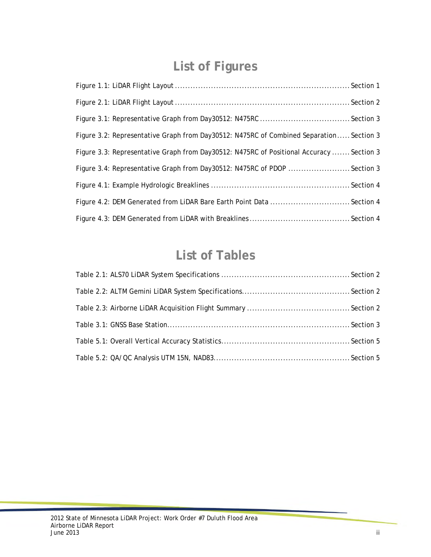# **List of Figures**

| Figure 3.2: Representative Graph from Day30512: N475RC of Combined Separation Section 3  |  |
|------------------------------------------------------------------------------------------|--|
| Figure 3.3: Representative Graph from Day30512: N475RC of Positional Accuracy  Section 3 |  |
| Figure 3.4: Representative Graph from Day30512: N475RC of PDOP Section 3                 |  |
|                                                                                          |  |
| Figure 4.2: DEM Generated from LiDAR Bare Earth Point Data Section 4                     |  |
|                                                                                          |  |

## **List of Tables**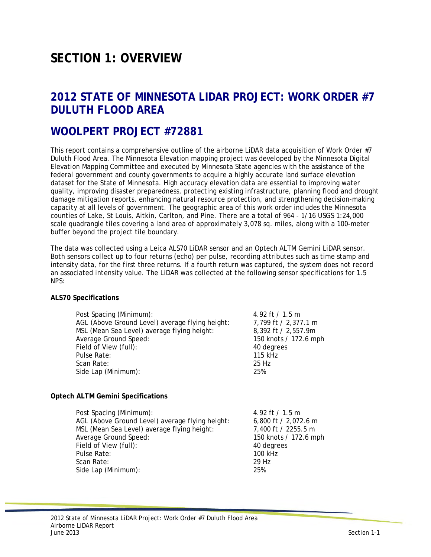## **SECTION 1: OVERVIEW**

### **2012 STATE OF MINNESOTA LIDAR PROJECT: WORK ORDER #7 DULUTH FLOOD AREA**

### **WOOLPERT PROJECT #72881**

This report contains a comprehensive outline of the airborne LiDAR data acquisition of Work Order #7 Duluth Flood Area. The Minnesota Elevation mapping project was developed by the Minnesota Digital Elevation Mapping Committee and executed by Minnesota State agencies with the assistance of the federal government and county governments to acquire a highly accurate land surface elevation dataset for the State of Minnesota. High accuracy elevation data are essential to improving water quality, improving disaster preparedness, protecting existing infrastructure, planning flood and drought damage mitigation reports, enhancing natural resource protection, and strengthening decision-making capacity at all levels of government. The geographic area of this work order includes the Minnesota counties of Lake, St Louis, Aitkin, Carlton, and Pine. There are a total of 964 - 1/16 USGS 1:24,000 scale quadrangle tiles covering a land area of approximately 3,078 sq. miles, along with a 100-meter buffer beyond the project tile boundary.

The data was collected using a Leica ALS70 LiDAR sensor and an Optech ALTM Gemini LiDAR sensor. Both sensors collect up to four returns (echo) per pulse, recording attributes such as time stamp and intensity data, for the first three returns. If a fourth return was captured, the system does not record an associated intensity value. The LiDAR was collected at the following sensor specifications for 1.5 NPS:

#### **ALS70 Specifications**

| Post Spacing (Minimum):                         | 4.92 ft / 1.5 m       |
|-------------------------------------------------|-----------------------|
| AGL (Above Ground Level) average flying height: | 7,799 ft / 2,377.1 m  |
| MSL (Mean Sea Level) average flying height:     | 8,392 ft / 2,557.9m   |
| Average Ground Speed:                           | 150 knots / 172.6 mph |
| Field of View (full):                           | 40 degrees            |
| Pulse Rate:                                     | 115 kHz               |
| Scan Rate:                                      | 25 Hz                 |
| Side Lap (Minimum):                             | 25%                   |

#### **Optech ALTM Gemini Specifications**

| Post Spacing (Minimum):                         | 4.92 ft / 1.5 m       |
|-------------------------------------------------|-----------------------|
| AGL (Above Ground Level) average flying height: | 6,800 ft / 2,072.6 m  |
| MSL (Mean Sea Level) average flying height:     | 7,400 ft / 2255.5 m   |
| Average Ground Speed:                           | 150 knots / 172.6 mph |
| Field of View (full):                           | 40 degrees            |
| Pulse Rate:                                     | 100 kHz               |
| Scan Rate:                                      | 29 Hz                 |
| Side Lap (Minimum):                             | 25%                   |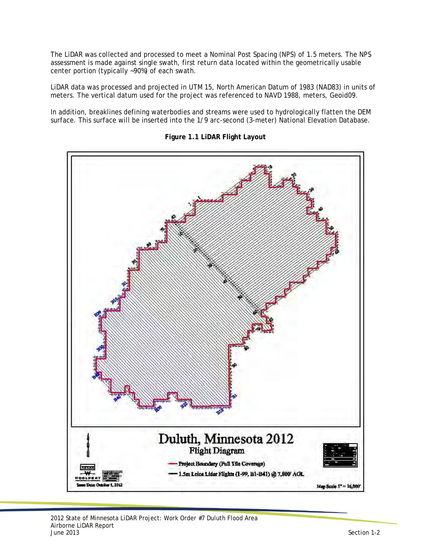The LiDAR was collected and processed to meet a Nominal Post Spacing (NPS) of 1.5 meters. The NPS assessment is made against single swath, first return data located within the geometrically usable center portion (typically ~90%) of each swath.

LiDAR data was processed and projected in UTM 15, North American Datum of 1983 (NAD83) in units of meters. The vertical datum used for the project was referenced to NAVD 1988, meters, Geoid09.

In addition, breaklines defining waterbodies and streams were used to hydrologically flatten the DEM surface. This surface will be inserted into the 1/9 arc-second (3-meter) National Elevation Database.



**Figure 1.1 LiDAR Flight Layout**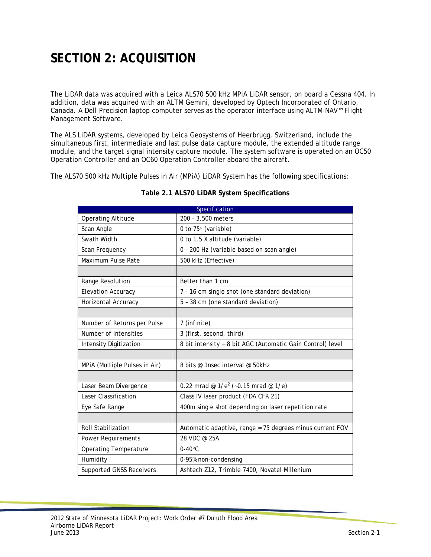# **SECTION 2: ACQUISITION**

The LiDAR data was acquired with a Leica ALS70 500 kHz MPiA LiDAR sensor, on board a Cessna 404. In addition, data was acquired with an ALTM Gemini, developed by Optech Incorporated of Ontario, Canada. A Dell Precision laptop computer serves as the operator interface using ALTM-NAV™ Flight Management Software.

The ALS LiDAR systems, developed by Leica Geosystems of Heerbrugg, Switzerland, include the simultaneous first, intermediate and last pulse data capture module, the extended altitude range module, and the target signal intensity capture module. The system software is operated on an OC50 Operation Controller and an OC60 Operation Controller aboard the aircraft.

The ALS70 500 kHz Multiple Pulses in Air (MPiA) LiDAR System has the following specifications:

| Specification                   |                                                            |  |  |
|---------------------------------|------------------------------------------------------------|--|--|
| <b>Operating Altitude</b>       | 200 - 3,500 meters                                         |  |  |
| Scan Angle                      | 0 to 75° (variable)                                        |  |  |
| Swath Width                     | 0 to 1.5 X altitude (variable)                             |  |  |
| Scan Frequency                  | 0 - 200 Hz (variable based on scan angle)                  |  |  |
| Maximum Pulse Rate              | 500 kHz (Effective)                                        |  |  |
|                                 |                                                            |  |  |
| Range Resolution                | Better than 1 cm                                           |  |  |
| <b>Elevation Accuracy</b>       | 7 - 16 cm single shot (one standard deviation)             |  |  |
| Horizontal Accuracy             | 5 - 38 cm (one standard deviation)                         |  |  |
|                                 |                                                            |  |  |
| Number of Returns per Pulse     | 7 (infinite)                                               |  |  |
| Number of Intensities           | 3 (first, second, third)                                   |  |  |
| <b>Intensity Digitization</b>   | 8 bit intensity + 8 bit AGC (Automatic Gain Control) level |  |  |
|                                 |                                                            |  |  |
| MPIA (Multiple Pulses in Air)   | 8 bits @ 1nsec interval @ 50kHz                            |  |  |
|                                 |                                                            |  |  |
| Laser Beam Divergence           | 0.22 mrad @ $1/e^2$ (~0.15 mrad @ $1/e$ )                  |  |  |
| Laser Classification            | Class IV laser product (FDA CFR 21)                        |  |  |
| Eye Safe Range                  | 400m single shot depending on laser repetition rate        |  |  |
|                                 |                                                            |  |  |
| <b>Roll Stabilization</b>       | Automatic adaptive, range = 75 degrees minus current FOV   |  |  |
| <b>Power Requirements</b>       | 28 VDC @ 25A                                               |  |  |
| <b>Operating Temperature</b>    | $0-40$ °C                                                  |  |  |
| Humidity                        | 0-95% non-condensing                                       |  |  |
| <b>Supported GNSS Receivers</b> | Ashtech Z12, Trimble 7400, Novatel Millenium               |  |  |

#### **Table 2.1 ALS70 LiDAR System Specifications**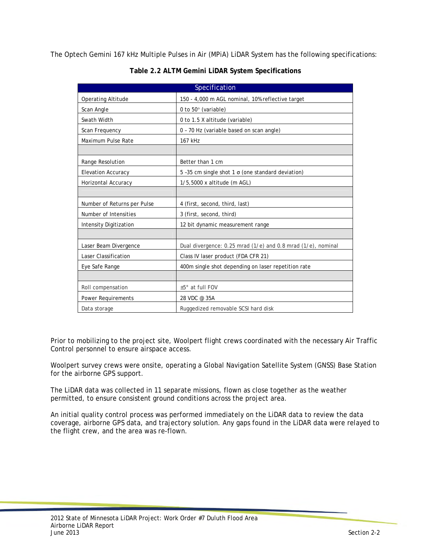The Optech Gemini 167 kHz Multiple Pulses in Air (MPiA) LiDAR System has the following specifications:

| Specification               |                                                              |  |  |
|-----------------------------|--------------------------------------------------------------|--|--|
| <b>Operating Altitude</b>   | 150 - 4,000 m AGL nominal, 10% reflective target             |  |  |
| Scan Angle                  | 0 to 50° (variable)                                          |  |  |
| Swath Width                 | 0 to 1.5 X altitude (variable)                               |  |  |
| Scan Frequency              | 0 - 70 Hz (variable based on scan angle)                     |  |  |
| Maximum Pulse Rate          | 167 kHz                                                      |  |  |
|                             |                                                              |  |  |
| Range Resolution            | Better than 1 cm                                             |  |  |
| <b>Elevation Accuracy</b>   | 5-35 cm single shot $1 \sigma$ (one standard deviation)      |  |  |
| Horizontal Accuracy         | 1/5,5000 x altitude (m AGL)                                  |  |  |
|                             |                                                              |  |  |
| Number of Returns per Pulse | 4 (first, second, third, last)                               |  |  |
| Number of Intensities       | 3 (first, second, third)                                     |  |  |
| Intensity Digitization      | 12 bit dynamic measurement range                             |  |  |
|                             |                                                              |  |  |
| Laser Beam Divergence       | Dual divergence: 0.25 mrad (1/e) and 0.8 mrad (1/e), nominal |  |  |
| Laser Classification        | Class IV laser product (FDA CFR 21)                          |  |  |
| Eye Safe Range              | 400m single shot depending on laser repetition rate          |  |  |
|                             |                                                              |  |  |
| Roll compensation           | ±5° at full FOV                                              |  |  |
| <b>Power Requirements</b>   | 28 VDC @ 35A                                                 |  |  |
| Data storage                | Ruggedized removable SCSI hard disk                          |  |  |

**Table 2.2 ALTM Gemini LiDAR System Specifications** 

Prior to mobilizing to the project site, Woolpert flight crews coordinated with the necessary Air Traffic Control personnel to ensure airspace access.

Woolpert survey crews were onsite, operating a Global Navigation Satellite System (GNSS) Base Station for the airborne GPS support.

The LiDAR data was collected in 11 separate missions, flown as close together as the weather permitted, to ensure consistent ground conditions across the project area.

An initial quality control process was performed immediately on the LiDAR data to review the data coverage, airborne GPS data, and trajectory solution. Any gaps found in the LiDAR data were relayed to the flight crew, and the area was re-flown.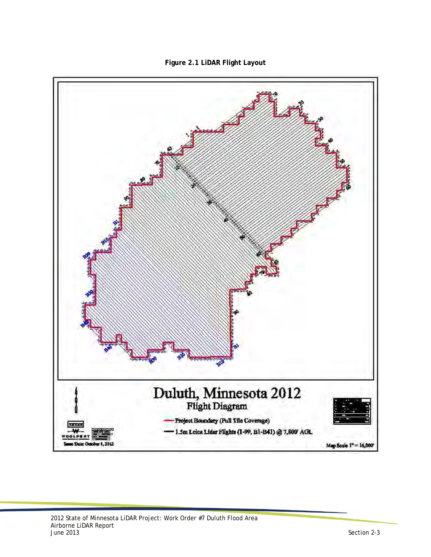

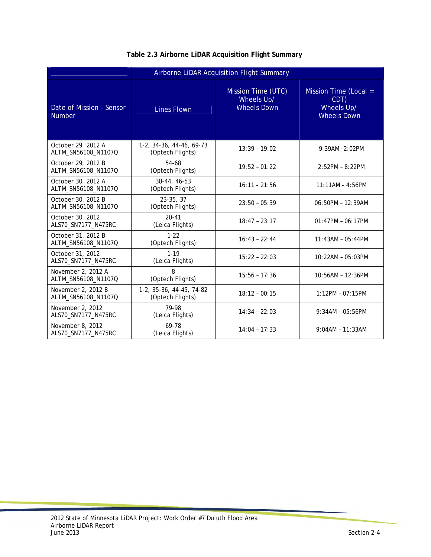| Airborne LiDAR Acquisition Flight Summary |                                              |                                                        |                                                                   |  |
|-------------------------------------------|----------------------------------------------|--------------------------------------------------------|-------------------------------------------------------------------|--|
| Date of Mission - Sensor<br><b>Number</b> | <b>Lines Flown</b>                           | Mission Time (UTC)<br>Wheels Up/<br><b>Wheels Down</b> | Mission Time (Local =<br>CDT)<br>Wheels Up/<br><b>Wheels Down</b> |  |
| October 29, 2012 A<br>ALTM_SN56108_N1107Q | 1-2, 34-36, 44-46, 69-73<br>(Optech Flights) | $13:39 - 19:02$                                        | 9:39AM -2:02PM                                                    |  |
| October 29, 2012 B<br>ALTM_SN56108_N1107Q | 54-68<br>(Optech Flights)                    | $19:52 - 01:22$                                        | $2:52PM - 8:22PM$                                                 |  |
| October 30, 2012 A<br>ALTM_SN56108_N1107Q | 38-44, 46-53<br>(Optech Flights)             | $16:11 - 21:56$                                        | 11:11AM - 4:56PM                                                  |  |
| October 30, 2012 B<br>ALTM_SN56108_N1107Q | 23-35, 37<br>(Optech Flights)                | $23:50 - 05:39$                                        | 06:50PM - 12:39AM                                                 |  |
| October 30, 2012<br>ALS70_SN7177_N475RC   | $20 - 41$<br>(Leica Flights)                 | $18:47 - 23:17$                                        | $01:47PM - 06:17PM$                                               |  |
| October 31, 2012 B<br>ALTM_SN56108_N1107Q | $1 - 22$<br>(Optech Flights)                 | $16:43 - 22:44$                                        | $11:43AM - 05:44PM$                                               |  |
| October 31, 2012<br>ALS70_SN7177_N475RC   | $1 - 19$<br>(Leica Flights)                  | $15:22 - 22:03$                                        | 10:22AM - 05:03PM                                                 |  |
| November 2, 2012 A<br>ALTM_SN56108_N1107Q | 8<br>(Optech Flights)                        | $15:56 - 17:36$                                        | 10:56AM - 12:36PM                                                 |  |
| November 2, 2012 B<br>ALTM_SN56108_N1107Q | 1-2, 35-36, 44-45, 74-82<br>(Optech Flights) | $18:12 - 00:15$                                        | $1:12PM - 07:15PM$                                                |  |
| November 2, 2012<br>ALS70_SN7177_N475RC   | 79-98<br>(Leica Flights)                     | $14:34 - 22:03$                                        | 9:34AM - 05:56PM                                                  |  |
| November 8, 2012<br>ALS70_SN7177_N475RC   | 69-78<br>(Leica Flights)                     | $14:04 - 17:33$                                        | $9:04AM - 11:33AM$                                                |  |

#### **Table 2.3 Airborne LiDAR Acquisition Flight Summary**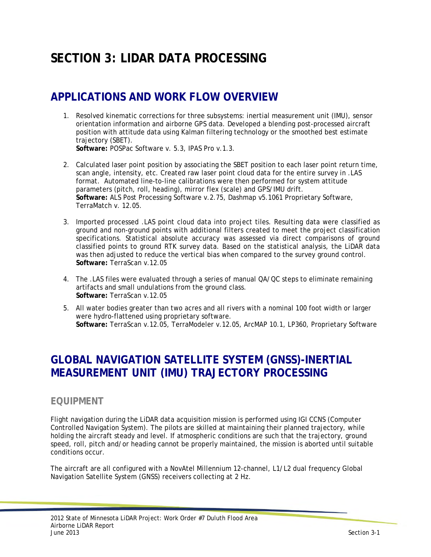## **SECTION 3: LIDAR DATA PROCESSING**

## **APPLICATIONS AND WORK FLOW OVERVIEW**

- 1. Resolved kinematic corrections for three subsystems: inertial measurement unit (IMU), sensor orientation information and airborne GPS data. Developed a blending post-processed aircraft position with attitude data using Kalman filtering technology or the smoothed best estimate trajectory (SBET). **Software:** POSPac Software v. 5.3, IPAS Pro v.1.3.
- 2. Calculated laser point position by associating the SBET position to each laser point return time, scan angle, intensity, etc. Created raw laser point cloud data for the entire survey in .LAS format. Automated line-to-line calibrations were then performed for system attitude parameters (pitch, roll, heading), mirror flex (scale) and GPS/IMU drift. **Software:** ALS Post Processing Software v.2.75, Dashmap v5.1061 Proprietary Software, TerraMatch v. 12.05.
- 3. Imported processed .LAS point cloud data into project tiles. Resulting data were classified as ground and non-ground points with additional filters created to meet the project classification specifications. Statistical absolute accuracy was assessed via direct comparisons of ground classified points to ground RTK survey data. Based on the statistical analysis, the LiDAR data was then adjusted to reduce the vertical bias when compared to the survey ground control.  **Software:** TerraScan v.12.05
- 4. The .LAS files were evaluated through a series of manual QA/QC steps to eliminate remaining artifacts and small undulations from the ground class. **Software:** TerraScan v.12.05
- 5. All water bodies greater than two acres and all rivers with a nominal 100 foot width or larger were hydro-flattened using proprietary software. **Software:** TerraScan v.12.05, TerraModeler v.12.05, ArcMAP 10.1, LP360, Proprietary Software

### **GLOBAL NAVIGATION SATELLITE SYSTEM (GNSS)-INERTIAL MEASUREMENT UNIT (IMU) TRAJECTORY PROCESSING**

### **EQUIPMENT**

Flight navigation during the LiDAR data acquisition mission is performed using IGI CCNS (Computer Controlled Navigation System). The pilots are skilled at maintaining their planned trajectory, while holding the aircraft steady and level. If atmospheric conditions are such that the trajectory, ground speed, roll, pitch and/or heading cannot be properly maintained, the mission is aborted until suitable conditions occur.

The aircraft are all configured with a NovAtel Millennium 12-channel, L1/L2 dual frequency Global Navigation Satellite System (GNSS) receivers collecting at 2 Hz.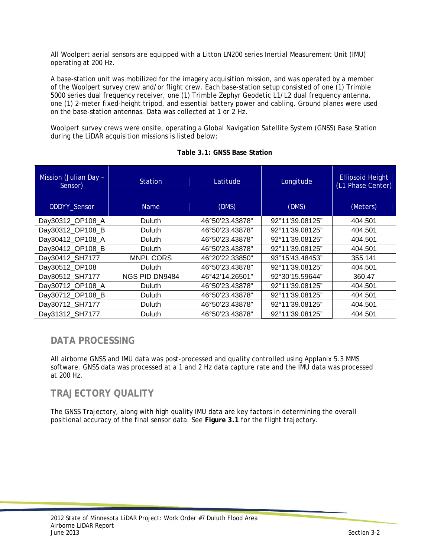All Woolpert aerial sensors are equipped with a Litton LN200 series Inertial Measurement Unit (IMU) operating at 200 Hz.

A base-station unit was mobilized for the imagery acquisition mission, and was operated by a member of the Woolpert survey crew and/or flight crew. Each base-station setup consisted of one (1) Trimble 5000 series dual frequency receiver, one (1) Trimble Zephyr Geodetic L1/L2 dual frequency antenna, one (1) 2-meter fixed-height tripod, and essential battery power and cabling. Ground planes were used on the base-station antennas. Data was collected at 1 or 2 Hz.

Woolpert survey crews were onsite, operating a Global Navigation Satellite System (GNSS) Base Station during the LiDAR acquisition missions is listed below:

| Mission (Julian Day -<br>Sensor) | <b>Station</b>   | Latitude        | Longitude       | <b>Ellipsoid Height</b><br>(L1 Phase Center) |
|----------------------------------|------------------|-----------------|-----------------|----------------------------------------------|
| DDDYY_Sensor                     | <b>Name</b>      | (DMS)           | (DMS)           | (Meters)                                     |
| Day30312_OP108_A                 | <b>Duluth</b>    | 46°50'23.43878" | 92°11'39.08125" | 404.501                                      |
| Day30312_OP108_B                 | <b>Duluth</b>    | 46°50'23.43878" | 92°11'39.08125" | 404.501                                      |
| Day30412 OP108 A                 | <b>Duluth</b>    | 46°50'23.43878" | 92°11'39.08125" | 404.501                                      |
| Day30412 OP108 B                 | <b>Duluth</b>    | 46°50'23.43878" | 92°11'39.08125" | 404.501                                      |
| Day30412_SH7177                  | <b>MNPL CORS</b> | 46°20'22.33850" | 93°15'43.48453" | 355.141                                      |
| Day30512_OP108                   | <b>Duluth</b>    | 46°50'23.43878" | 92°11'39.08125" | 404.501                                      |
| Day30512_SH7177                  | NGS PID DN9484   | 46°42'14.26501" | 92°30'15.59644" | 360.47                                       |
| Day30712_OP108_A                 | <b>Duluth</b>    | 46°50'23.43878" | 92°11'39.08125" | 404.501                                      |
| Day30712_OP108_B                 | <b>Duluth</b>    | 46°50'23.43878" | 92°11'39.08125" | 404.501                                      |
| Day30712_SH7177                  | Duluth           | 46°50'23.43878" | 92°11'39.08125" | 404.501                                      |
| Day31312 SH7177                  | Duluth           | 46°50'23.43878" | 92°11'39.08125" | 404.501                                      |

|  |  | Table 3.1: GNSS Base Station |
|--|--|------------------------------|
|  |  |                              |

### **DATA PROCESSING**

All airborne GNSS and IMU data was post-processed and quality controlled using Applanix 5.3 MMS software. GNSS data was processed at a 1 and 2 Hz data capture rate and the IMU data was processed at 200 Hz.

### **TRAJECTORY QUALITY**

The GNSS Trajectory, along with high quality IMU data are key factors in determining the overall positional accuracy of the final sensor data. See **Figure 3.1** for the flight trajectory.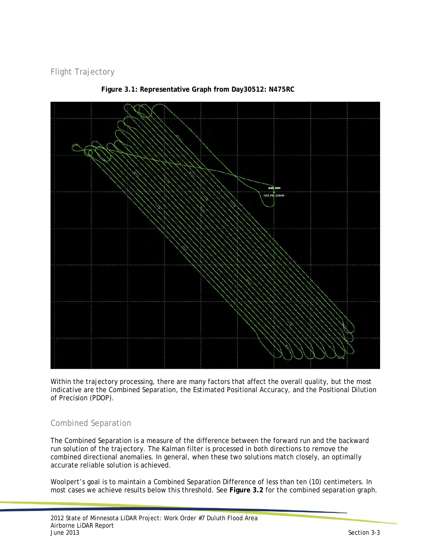Flight Trajectory



**Figure 3.1: Representative Graph from Day30512: N475RC** 

Within the trajectory processing, there are many factors that affect the overall quality, but the most indicative are the Combined Separation, the Estimated Positional Accuracy, and the Positional Dilution of Precision (PDOP).

### Combined Separation

The Combined Separation is a measure of the difference between the forward run and the backward run solution of the trajectory. The Kalman filter is processed in both directions to remove the combined directional anomalies. In general, when these two solutions match closely, an optimally accurate reliable solution is achieved.

Woolpert's goal is to maintain a Combined Separation Difference of less than ten (10) centimeters. In most cases we achieve results below this threshold. See **Figure 3.2** for the combined separation graph.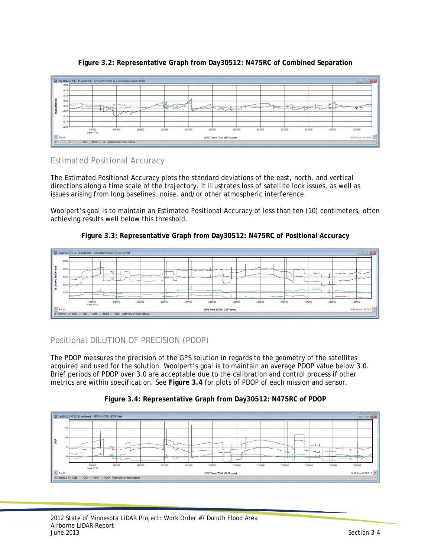

#### **Figure 3.2: Representative Graph from Day30512: N475RC of Combined Separation**

#### Estimated Positional Accuracy

The Estimated Positional Accuracy plots the standard deviations of the east, north, and vertical directions along a time scale of the trajectory. It illustrates loss of satellite lock issues, as well as issues arising from long baselines, noise, and/or other atmospheric interference.

Woolpert's goal is to maintain an Estimated Positional Accuracy of less than ten (10) centimeters, often achieving results well below this threshold.





### Positional DILUTION OF PRECISION (PDOP)

The PDOP measures the precision of the GPS solution in regards to the geometry of the satellites acquired and used for the solution. Woolpert's goal is to maintain an average PDOP value below 3.0. Brief periods of PDOP over 3.0 are acceptable due to the calibration and control process if other metrics are within specification. See **Figure 3.4** for plots of PDOP of each mission and sensor.



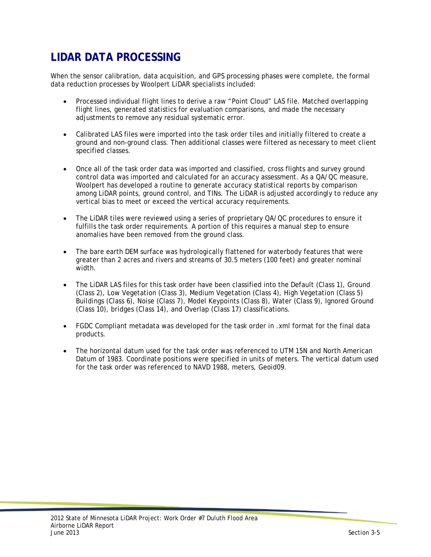## **LIDAR DATA PROCESSING**

When the sensor calibration, data acquisition, and GPS processing phases were complete, the formal data reduction processes by Woolpert LiDAR specialists included:

- Processed individual flight lines to derive a raw "Point Cloud" LAS file. Matched overlapping flight lines, generated statistics for evaluation comparisons, and made the necessary adjustments to remove any residual systematic error.
- Calibrated LAS files were imported into the task order tiles and initially filtered to create a ground and non-ground class. Then additional classes were filtered as necessary to meet client specified classes.
- Once all of the task order data was imported and classified, cross flights and survey ground control data was imported and calculated for an accuracy assessment. As a QA/QC measure, Woolpert has developed a routine to generate accuracy statistical reports by comparison among LiDAR points, ground control, and TINs. The LiDAR is adjusted accordingly to reduce any vertical bias to meet or exceed the vertical accuracy requirements.
- The LiDAR tiles were reviewed using a series of proprietary QA/QC procedures to ensure it fulfills the task order requirements. A portion of this requires a manual step to ensure anomalies have been removed from the ground class.
- The bare earth DEM surface was hydrologically flattened for waterbody features that were greater than 2 acres and rivers and streams of 30.5 meters (100 feet) and greater nominal width.
- The LiDAR LAS files for this task order have been classified into the Default (Class 1), Ground (Class 2), Low Vegetation (Class 3), Medium Vegetation (Class 4), High Vegetation (Class 5) Buildings (Class 6), Noise (Class 7), Model Keypoints (Class 8), Water (Class 9), Ignored Ground (Class 10), bridges (Class 14), and Overlap (Class 17) classifications.
- FGDC Compliant metadata was developed for the task order in .xml format for the final data products.
- The horizontal datum used for the task order was referenced to UTM 15N and North American Datum of 1983. Coordinate positions were specified in units of meters. The vertical datum used for the task order was referenced to NAVD 1988, meters, Geoid09.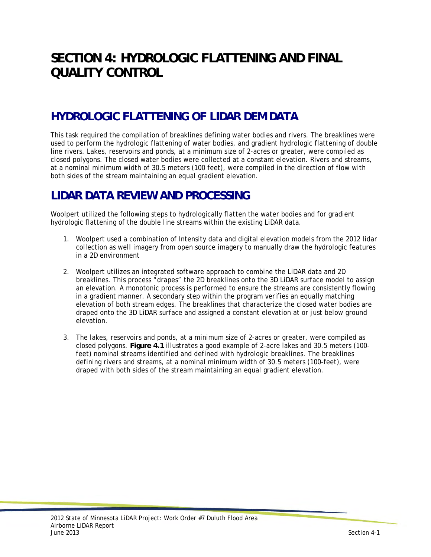## **SECTION 4: HYDROLOGIC FLATTENING AND FINAL QUALITY CONTROL**

## **HYDROLOGIC FLATTENING OF LIDAR DEM DATA**

This task required the compilation of breaklines defining water bodies and rivers. The breaklines were used to perform the hydrologic flattening of water bodies, and gradient hydrologic flattening of double line rivers. Lakes, reservoirs and ponds, at a minimum size of 2-acres or greater, were compiled as closed polygons. The closed water bodies were collected at a constant elevation. Rivers and streams, at a nominal minimum width of 30.5 meters (100 feet), were compiled in the direction of flow with both sides of the stream maintaining an equal gradient elevation.

### **LIDAR DATA REVIEW AND PROCESSING**

Woolpert utilized the following steps to hydrologically flatten the water bodies and for gradient hydrologic flattening of the double line streams within the existing LiDAR data.

- 1. Woolpert used a combination of Intensity data and digital elevation models from the 2012 lidar collection as well imagery from open source imagery to manually draw the hydrologic features in a 2D environment
- 2. Woolpert utilizes an integrated software approach to combine the LiDAR data and 2D breaklines. This process "drapes" the 2D breaklines onto the 3D LiDAR surface model to assign an elevation. A monotonic process is performed to ensure the streams are consistently flowing in a gradient manner. A secondary step within the program verifies an equally matching elevation of both stream edges. The breaklines that characterize the closed water bodies are draped onto the 3D LiDAR surface and assigned a constant elevation at or just below ground elevation.
- 3. The lakes, reservoirs and ponds, at a minimum size of 2-acres or greater, were compiled as closed polygons. **Figure 4.1** illustrates a good example of 2-acre lakes and 30.5 meters (100 feet) nominal streams identified and defined with hydrologic breaklines. The breaklines defining rivers and streams, at a nominal minimum width of 30.5 meters (100-feet), were draped with both sides of the stream maintaining an equal gradient elevation.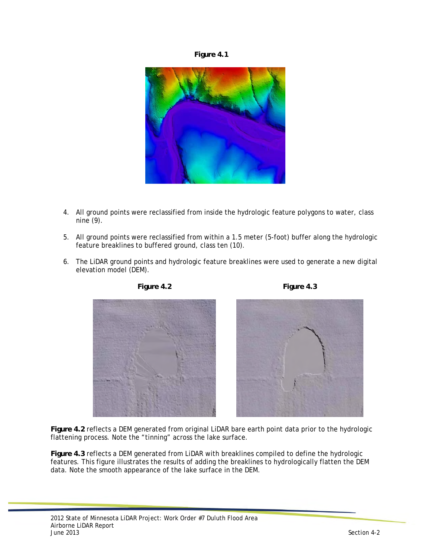



- 4. All ground points were reclassified from inside the hydrologic feature polygons to water, class nine (9).
- 5. All ground points were reclassified from within a 1.5 meter (5-foot) buffer along the hydrologic feature breaklines to buffered ground, class ten (10).
- 6. The LiDAR ground points and hydrologic feature breaklines were used to generate a new digital elevation model (DEM).







**Figure 4.2** reflects a DEM generated from original LiDAR bare earth point data prior to the hydrologic flattening process. Note the "tinning" across the lake surface.

**Figure 4.3** reflects a DEM generated from LiDAR with breaklines compiled to define the hydrologic features. This figure illustrates the results of adding the breaklines to hydrologically flatten the DEM data. Note the smooth appearance of the lake surface in the DEM.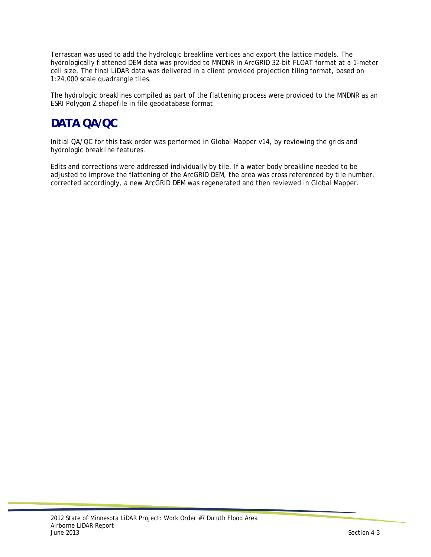Terrascan was used to add the hydrologic breakline vertices and export the lattice models. The hydrologically flattened DEM data was provided to MNDNR in ArcGRID 32-bit FLOAT format at a 1-meter cell size. The final LiDAR data was delivered in a client provided projection tiling format, based on 1:24,000 scale quadrangle tiles.

The hydrologic breaklines compiled as part of the flattening process were provided to the MNDNR as an ESRI Polygon Z shapefile in file geodatabase format.

### **DATA QA/QC**

Initial QA/QC for this task order was performed in Global Mapper v14, by reviewing the grids and hydrologic breakline features.

Edits and corrections were addressed individually by tile. If a water body breakline needed to be adjusted to improve the flattening of the ArcGRID DEM, the area was cross referenced by tile number, corrected accordingly, a new ArcGRID DEM was regenerated and then reviewed in Global Mapper.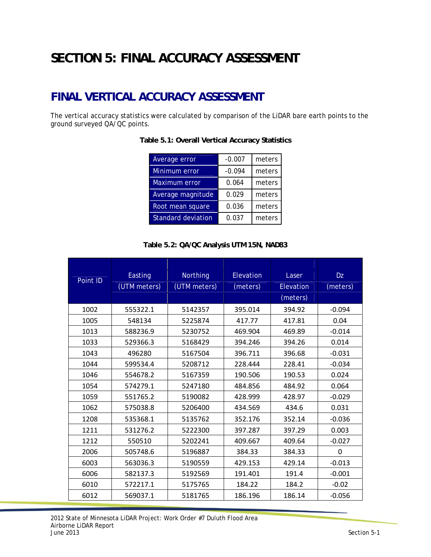# **SECTION 5: FINAL ACCURACY ASSESSMENT**

## **FINAL VERTICAL ACCURACY ASSESSMENT**

The vertical accuracy statistics were calculated by comparison of the LiDAR bare earth points to the ground surveyed QA/QC points.

| Average error             | $-0.007$ | meters |
|---------------------------|----------|--------|
| Minimum error             | $-0.094$ | meters |
| <b>Maximum error</b>      | 0.064    | meters |
| Average magnitude         | 0.029    | meters |
| Root mean square          | 0.036    | meters |
| <b>Standard deviation</b> | 0.037    | meters |

**Table 5.1: Overall Vertical Accuracy Statistics** 

#### **Table 5.2: QA/QC Analysis UTM 15N, NAD83**

| Point ID | Easting      | Northing     | Elevation | Laser     | <b>Dz</b> |
|----------|--------------|--------------|-----------|-----------|-----------|
|          | (UTM meters) | (UTM meters) | (meters)  | Elevation | (meters)  |
|          |              |              |           | (meters)  |           |
| 1002     | 555322.1     | 5142357      | 395.014   | 394.92    | $-0.094$  |
| 1005     | 548134       | 5225874      | 417.77    | 417.81    | 0.04      |
| 1013     | 588236.9     | 5230752      | 469.904   | 469.89    | $-0.014$  |
| 1033     | 529366.3     | 5168429      | 394.246   | 394.26    | 0.014     |
| 1043     | 496280       | 5167504      | 396.711   | 396.68    | $-0.031$  |
| 1044     | 599534.4     | 5208712      | 228.444   | 228.41    | $-0.034$  |
| 1046     | 554678.2     | 5167359      | 190.506   | 190.53    | 0.024     |
| 1054     | 574279.1     | 5247180      | 484.856   | 484.92    | 0.064     |
| 1059     | 551765.2     | 5190082      | 428.999   | 428.97    | $-0.029$  |
| 1062     | 575038.8     | 5206400      | 434.569   | 434.6     | 0.031     |
| 1208     | 535368.1     | 5135762      | 352.176   | 352.14    | $-0.036$  |
| 1211     | 531276.2     | 5222300      | 397.287   | 397.29    | 0.003     |
| 1212     | 550510       | 5202241      | 409.667   | 409.64    | $-0.027$  |
| 2006     | 505748.6     | 5196887      | 384.33    | 384.33    | 0         |
| 6003     | 563036.3     | 5190559      | 429.153   | 429.14    | $-0.013$  |
| 6006     | 582137.3     | 5192569      | 191.401   | 191.4     | $-0.001$  |
| 6010     | 572217.1     | 5175765      | 184.22    | 184.2     | $-0.02$   |
| 6012     | 569037.1     | 5181765      | 186.196   | 186.14    | $-0.056$  |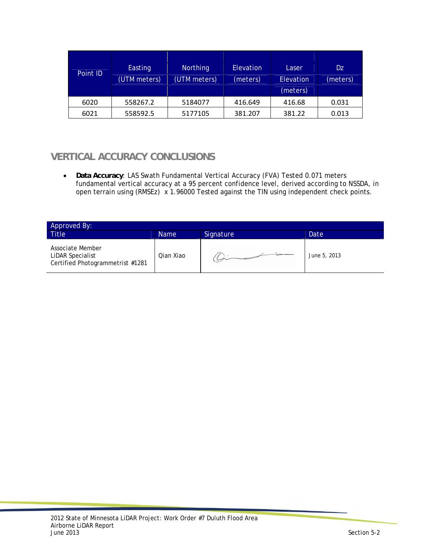| Point ID | Easting<br>(UTM meters) | <b>Northing</b><br>(UTM meters) | <b>Elevation</b><br>(meters) | Laser<br>Elevation<br>(meters) | Dz<br>(meters) |
|----------|-------------------------|---------------------------------|------------------------------|--------------------------------|----------------|
| 6020     | 558267.2                | 5184077                         | 416.649                      | 416.68                         | 0.031          |
| 6021     | 558592.5                | 5177105                         | 381.207                      | 381.22                         | 0.013          |

### **VERTICAL ACCURACY CONCLUSIONS**

 **Data Accuracy**: LAS Swath Fundamental Vertical Accuracy (FVA) Tested 0.071 meters fundamental vertical accuracy at a 95 percent confidence level, derived according to NSSDA, in open terrain using (RMSEz) x 1.96000 Tested against the TIN using independent check points.

| Approved By:                                                             |             |           |              |  |  |
|--------------------------------------------------------------------------|-------------|-----------|--------------|--|--|
| <b>Title</b>                                                             | <b>Name</b> | Signature | Date         |  |  |
| Associate Member<br>LiDAR Specialist<br>Certified Photogrammetrist #1281 | Ojan Xiao   |           | June 5, 2013 |  |  |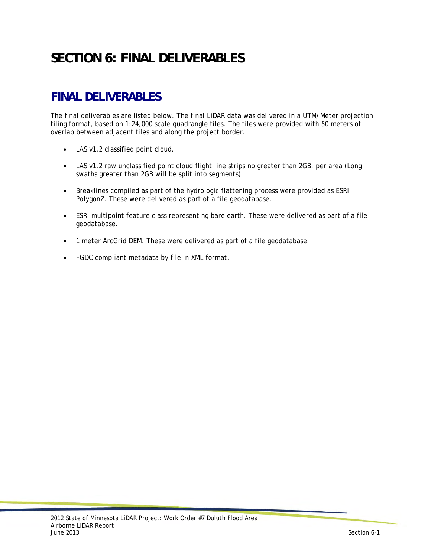# **SECTION 6: FINAL DELIVERABLES**

## **FINAL DELIVERABLES**

The final deliverables are listed below. The final LiDAR data was delivered in a UTM/Meter projection tiling format, based on 1:24,000 scale quadrangle tiles. The tiles were provided with 50 meters of overlap between adjacent tiles and along the project border.

- LAS v1.2 classified point cloud.
- LAS v1.2 raw unclassified point cloud flight line strips no greater than 2GB, per area (Long swaths greater than 2GB will be split into segments).
- Breaklines compiled as part of the hydrologic flattening process were provided as ESRI PolygonZ. These were delivered as part of a file geodatabase.
- ESRI multipoint feature class representing bare earth. These were delivered as part of a file geodatabase.
- 1 meter ArcGrid DEM. These were delivered as part of a file geodatabase.
- FGDC compliant metadata by file in XML format.